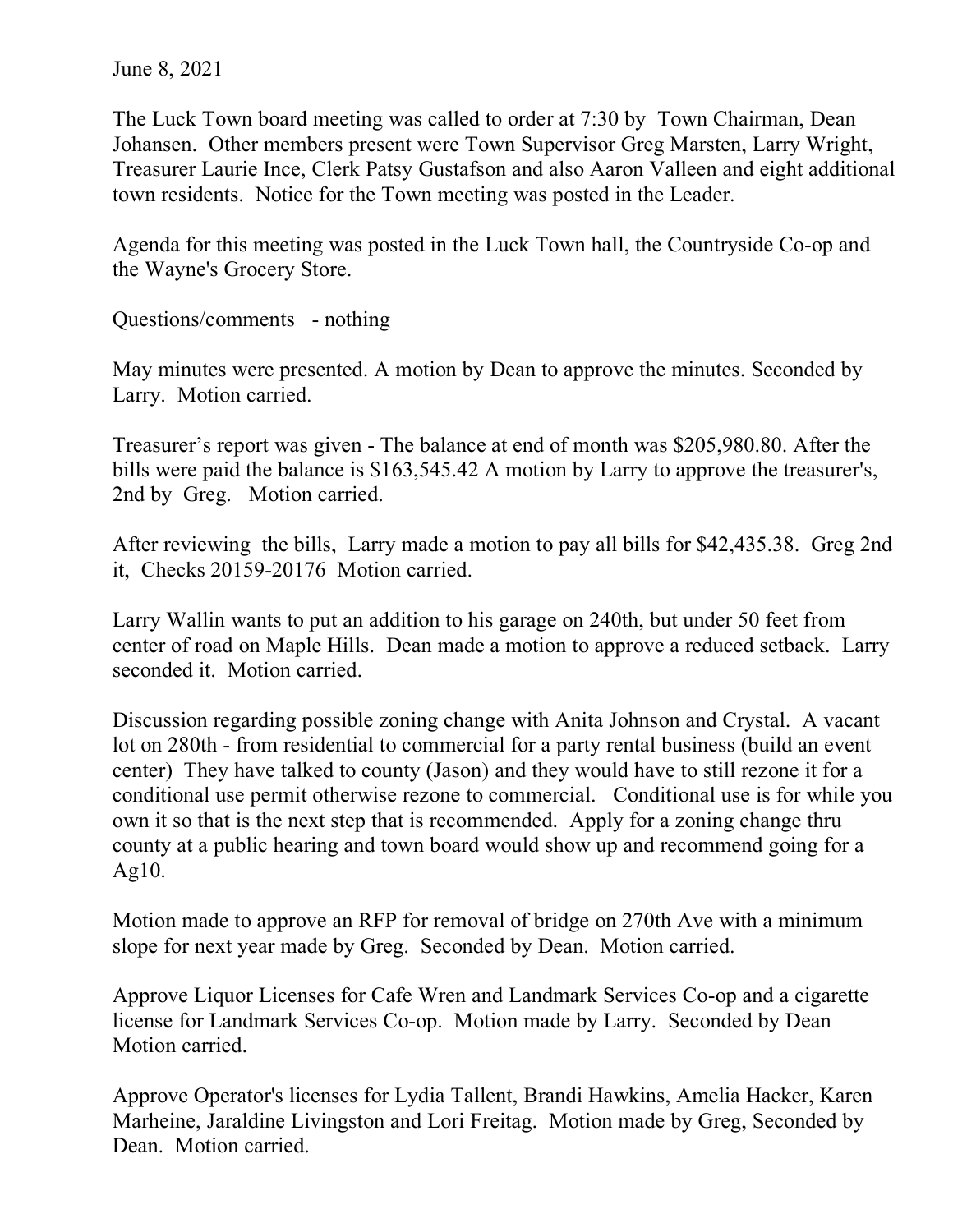June 8, 2021

The Luck Town board meeting was called to order at 7:30 by Town Chairman, Dean Johansen. Other members present were Town Supervisor Greg Marsten, Larry Wright, Treasurer Laurie Ince, Clerk Patsy Gustafson and also Aaron Valleen and eight additional town residents. Notice for the Town meeting was posted in the Leader.

Agenda for this meeting was posted in the Luck Town hall, the Countryside Co-op and the Wayne's Grocery Store.

Questions/comments - nothing

May minutes were presented. A motion by Dean to approve the minutes. Seconded by Larry. Motion carried.

Treasurer's report was given - The balance at end of month was \$205,980.80. After the bills were paid the balance is \$163,545.42 A motion by Larry to approve the treasurer's, 2nd by Greg. Motion carried.

After reviewing the bills, Larry made a motion to pay all bills for \$42,435.38. Greg 2nd it, Checks 20159-20176 Motion carried.

Larry Wallin wants to put an addition to his garage on 240th, but under 50 feet from center of road on Maple Hills. Dean made a motion to approve a reduced setback. Larry seconded it. Motion carried.

Discussion regarding possible zoning change with Anita Johnson and Crystal. A vacant lot on 280th - from residential to commercial for a party rental business (build an event center) They have talked to county (Jason) and they would have to still rezone it for a conditional use permit otherwise rezone to commercial. Conditional use is for while you own it so that is the next step that is recommended. Apply for a zoning change thru county at a public hearing and town board would show up and recommend going for a Ag10.

Motion made to approve an RFP for removal of bridge on 270th Ave with a minimum slope for next year made by Greg. Seconded by Dean. Motion carried.

Approve Liquor Licenses for Cafe Wren and Landmark Services Co-op and a cigarette license for Landmark Services Co-op. Motion made by Larry. Seconded by Dean Motion carried.

Approve Operator's licenses for Lydia Tallent, Brandi Hawkins, Amelia Hacker, Karen Marheine, Jaraldine Livingston and Lori Freitag. Motion made by Greg, Seconded by Dean. Motion carried.